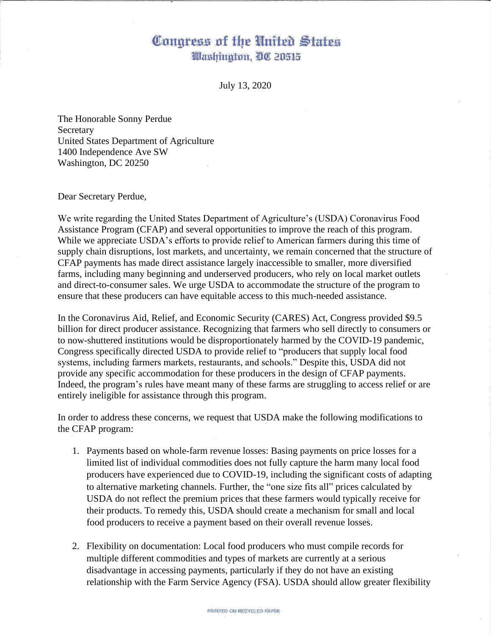## Congress of the United States Washington, DC 20515

July 13, 2020

The Honorable Sonny Perdue **Secretary** United States Department of Agriculture 1400 Independence Ave SW Washington, DC 20250

Dear Secretary Perdue,

We write regarding the United States Department of Agriculture's (USDA) Coronavirus Food Assistance Program (CFAP) and several opportunities to improve the reach of this program. While we appreciate USDA's efforts to provide relief to American farmers during this time of supply chain disruptions, lost markets, and uncertainty, we remain concerned that the structure of CFAP payments has made direct assistance largely inaccessible to smaller, more diversified farms, including many beginning and underserved producers, who rely on local market outlets and direct-to-consumer sales. We urge USDA to accommodate the structure of the program to ensure that these producers can have equitable access to this much-needed assistance.

In the Coronavirus Aid, Relief, and Economic Security (CARES) Act, Congress provided \$9.5 billion for direct producer assistance. Recognizing that farmers who sell directly to consumers or to now-shuttered institutions would be disproportionately harmed by the COVID-19 pandemic, Congress specifically directed USDA to provide relief to "producers that supply local food systems, including farmers markets, restaurants, and schools." Despite this, USDA did not provide any specific accommodation for these producers in the design of CFAP payments. Indeed, the program's rules have meant many of these farms are struggling to access relief or are entirely ineligible for assistance through this program.

In order to address these concerns, we request that USDA make the following modifications to the CFAP program:

- 1. Payments based on whole-farm revenue losses: Basing payments on price losses for a limited list of individual commodities does not fully capture the harm many local food producers have experienced due to COVID-19, including the significant costs of adapting to alternative marketing channels. Further, the "one size fits all" prices calculated by USDA do not reflect the premium prices that these farmers would typically receive for their products. To remedy this, USDA should create a mechanism for small and local food producers to receive a payment based on their overall revenue losses.
- 2. Flexibility on documentation: Local food producers who must compile records for multiple different commodities and types of markets are currently at a serious disadvantage in accessing payments, particularly if they do not have an existing relationship with the Farm Service Agency (FSA). USDA should allow greater flexibility